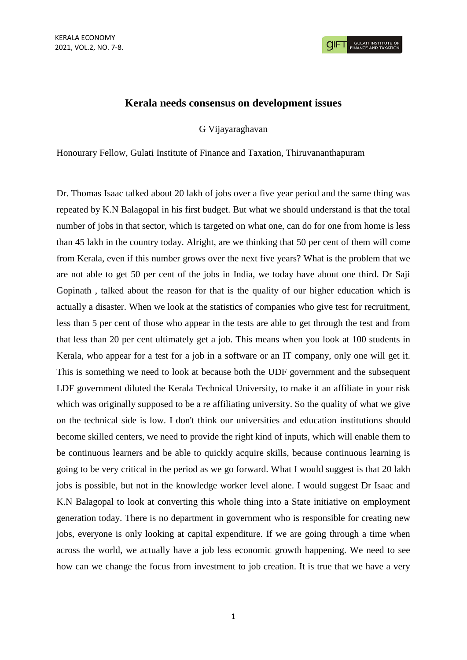

## **Kerala needs consensus on development issues**

G Vijayaraghavan

Honourary Fellow, Gulati Institute of Finance and Taxation, Thiruvananthapuram

Dr. Thomas Isaac talked about 20 lakh of jobs over a five year period and the same thing was repeated by K.N Balagopal in his first budget. But what we should understand is that the total number of jobs in that sector, which is targeted on what one, can do for one from home is less than 45 lakh in the country today. Alright, are we thinking that 50 per cent of them will come from Kerala, even if this number grows over the next five years? What is the problem that we are not able to get 50 per cent of the jobs in India, we today have about one third. Dr Saji Gopinath , talked about the reason for that is the quality of our higher education which is actually a disaster. When we look at the statistics of companies who give test for recruitment, less than 5 per cent of those who appear in the tests are able to get through the test and from that less than 20 per cent ultimately get a job. This means when you look at 100 students in Kerala, who appear for a test for a job in a software or an IT company, only one will get it. This is something we need to look at because both the UDF government and the subsequent LDF government diluted the Kerala Technical University, to make it an affiliate in your risk which was originally supposed to be a re affiliating university. So the quality of what we give on the technical side is low. I don't think our universities and education institutions should become skilled centers, we need to provide the right kind of inputs, which will enable them to be continuous learners and be able to quickly acquire skills, because continuous learning is going to be very critical in the period as we go forward. What I would suggest is that 20 lakh jobs is possible, but not in the knowledge worker level alone. I would suggest Dr Isaac and K.N Balagopal to look at converting this whole thing into a State initiative on employment generation today. There is no department in government who is responsible for creating new jobs, everyone is only looking at capital expenditure. If we are going through a time when across the world, we actually have a job less economic growth happening. We need to see how can we change the focus from investment to job creation. It is true that we have a very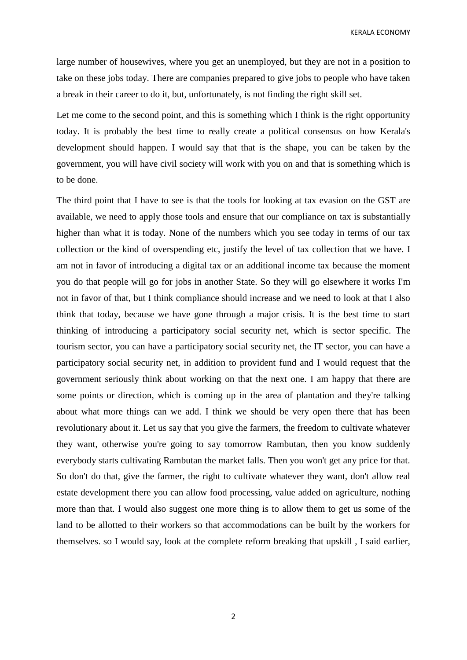KERALA ECONOMY

large number of housewives, where you get an unemployed, but they are not in a position to take on these jobs today. There are companies prepared to give jobs to people who have taken a break in their career to do it, but, unfortunately, is not finding the right skill set.

Let me come to the second point, and this is something which I think is the right opportunity today. It is probably the best time to really create a political consensus on how Kerala's development should happen. I would say that that is the shape, you can be taken by the government, you will have civil society will work with you on and that is something which is to be done.

The third point that I have to see is that the tools for looking at tax evasion on the GST are available, we need to apply those tools and ensure that our compliance on tax is substantially higher than what it is today. None of the numbers which you see today in terms of our tax collection or the kind of overspending etc, justify the level of tax collection that we have. I am not in favor of introducing a digital tax or an additional income tax because the moment you do that people will go for jobs in another State. So they will go elsewhere it works I'm not in favor of that, but I think compliance should increase and we need to look at that I also think that today, because we have gone through a major crisis. It is the best time to start thinking of introducing a participatory social security net, which is sector specific. The tourism sector, you can have a participatory social security net, the IT sector, you can have a participatory social security net, in addition to provident fund and I would request that the government seriously think about working on that the next one. I am happy that there are some points or direction, which is coming up in the area of plantation and they're talking about what more things can we add. I think we should be very open there that has been revolutionary about it. Let us say that you give the farmers, the freedom to cultivate whatever they want, otherwise you're going to say tomorrow Rambutan, then you know suddenly everybody starts cultivating Rambutan the market falls. Then you won't get any price for that. So don't do that, give the farmer, the right to cultivate whatever they want, don't allow real estate development there you can allow food processing, value added on agriculture, nothing more than that. I would also suggest one more thing is to allow them to get us some of the land to be allotted to their workers so that accommodations can be built by the workers for themselves. so I would say, look at the complete reform breaking that upskill , I said earlier,